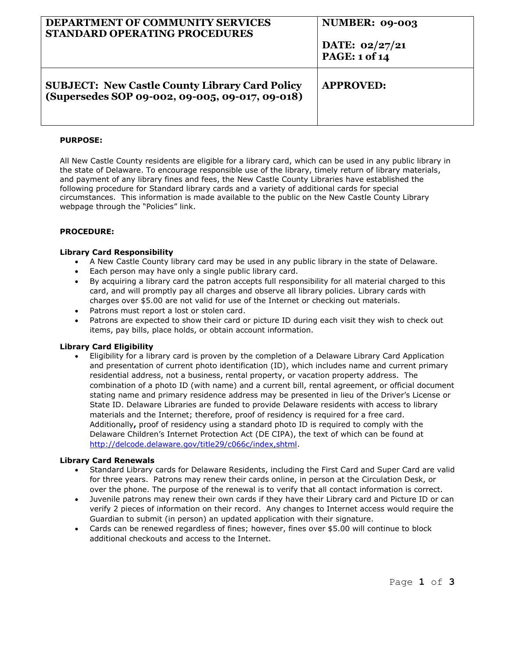| DEPARTMENT OF COMMUNITY SERVICES<br>STANDARD OPERATING PROCEDURES                                        | NUMBER: 09-003<br>DATE: $02/27/21$<br>PAGE: 1 of 14 |
|----------------------------------------------------------------------------------------------------------|-----------------------------------------------------|
| <b>SUBJECT: New Castle County Library Card Policy</b><br>(Supersedes SOP 09-002, 09-005, 09-017, 09-018) | <b>APPROVED:</b>                                    |

### **PURPOSE:**

All New Castle County residents are eligible for a library card, which can be used in any public library in the state of Delaware. To encourage responsible use of the library, timely return of library materials, and payment of any library fines and fees, the New Castle County Libraries have established the following procedure for Standard library cards and a variety of additional cards for special circumstances. This information is made available to the public on the New Castle County Library webpage through the "Policies" link.

# **PROCEDURE:**

#### **Library Card Responsibility**

- A New Castle County library card may be used in any public library in the state of Delaware.
- **Each person may have only a single public library card.**
- By acquiring a library card the patron accepts full responsibility for all material charged to this card, and will promptly pay all charges and observe all library policies. Library cards with charges over \$5.00 are not valid for use of the Internet or checking out materials.
- Patrons must report a lost or stolen card.
- Patrons are expected to show their card or picture ID during each visit they wish to check out items, pay bills, place holds, or obtain account information.

# **Library Card Eligibility**

 Eligibility for a library card is proven by the completion of a Delaware Library Card Application and presentation of current photo identification (ID), which includes name and current primary residential address, not a business, rental property, or vacation property address. The combination of a photo ID (with name) and a current bill, rental agreement, or official document stating name and primary residence address may be presented in lieu of the Driver's License or State ID. Delaware Libraries are funded to provide Delaware residents with access to library materials and the Internet; therefore, proof of residency is required for a free card. Additionally**,** proof of residency using a standard photo ID is required to comply with the Delaware Children's Internet Protection Act (DE CIPA), the text of which can be found at [http://delcode.delaware.gov/title29/c066c/index,shtml.](http://delcode.delaware.gov/title29/c066c/index,shtml)

#### **Library Card Renewals**

- Standard Library cards for Delaware Residents, including the First Card and Super Card are valid for three years. Patrons may renew their cards online, in person at the Circulation Desk, or over the phone. The purpose of the renewal is to verify that all contact information is correct.
- Juvenile patrons may renew their own cards if they have their Library card and Picture ID or can verify 2 pieces of information on their record. Any changes to Internet access would require the Guardian to submit (in person) an updated application with their signature.
- Cards can be renewed regardless of fines; however, fines over \$5.00 will continue to block additional checkouts and access to the Internet.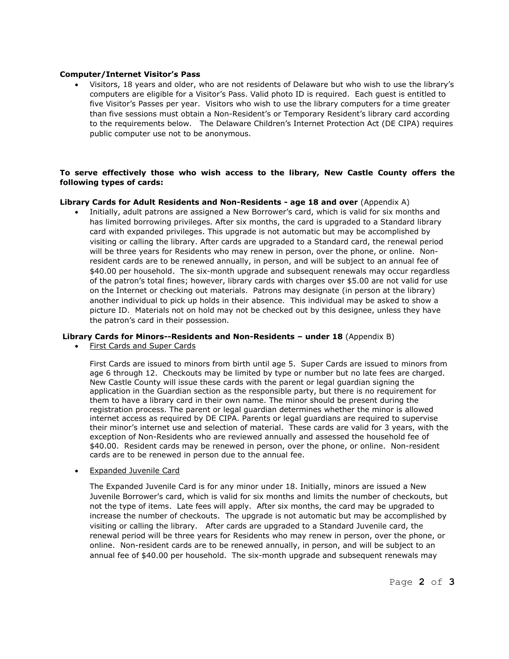#### **Computer/Internet Visitor's Pass**

 Visitors, 18 years and older, who are not residents of Delaware but who wish to use the library's computers are eligible for a Visitor's Pass. Valid photo ID is required. Each guest is entitled to five Visitor's Passes per year. Visitors who wish to use the library computers for a time greater than five sessions must obtain a Non-Resident's or Temporary Resident's library card according to the requirements below. The Delaware Children's Internet Protection Act (DE CIPA) requires public computer use not to be anonymous.

# **To serve effectively those who wish access to the library, New Castle County offers the following types of cards:**

# **Library Cards for Adult Residents and Non-Residents - age 18 and over** (Appendix A)

 Initially, adult patrons are assigned a New Borrower's card, which is valid for six months and has limited borrowing privileges. After six months, the card is upgraded to a Standard library card with expanded privileges. This upgrade is not automatic but may be accomplished by visiting or calling the library. After cards are upgraded to a Standard card, the renewal period will be three years for Residents who may renew in person, over the phone, or online. Nonresident cards are to be renewed annually, in person, and will be subject to an annual fee of \$40.00 per household. The six-month upgrade and subsequent renewals may occur regardless of the patron's total fines; however, library cards with charges over \$5.00 are not valid for use on the Internet or checking out materials. Patrons may designate (in person at the library) another individual to pick up holds in their absence. This individual may be asked to show a picture ID. Materials not on hold may not be checked out by this designee, unless they have the patron's card in their possession.

# **Library Cards for Minors--Residents and Non-Residents – under 18** (Appendix B)

First Cards and Super Cards

First Cards are issued to minors from birth until age 5. Super Cards are issued to minors from age 6 through 12. Checkouts may be limited by type or number but no late fees are charged. New Castle County will issue these cards with the parent or legal guardian signing the application in the Guardian section as the responsible party, but there is no requirement for them to have a library card in their own name. The minor should be present during the registration process. The parent or legal guardian determines whether the minor is allowed internet access as required by DE CIPA. Parents or legal guardians are required to supervise their minor's internet use and selection of material. These cards are valid for 3 years, with the exception of Non-Residents who are reviewed annually and assessed the household fee of \$40.00. Resident cards may be renewed in person, over the phone, or online. Non-resident cards are to be renewed in person due to the annual fee.

• Expanded Juvenile Card

The Expanded Juvenile Card is for any minor under 18. Initially, minors are issued a New Juvenile Borrower's card, which is valid for six months and limits the number of checkouts, but not the type of items. Late fees will apply. After six months, the card may be upgraded to increase the number of checkouts. The upgrade is not automatic but may be accomplished by visiting or calling the library. After cards are upgraded to a Standard Juvenile card, the renewal period will be three years for Residents who may renew in person, over the phone, or online. Non-resident cards are to be renewed annually, in person, and will be subject to an annual fee of \$40.00 per household. The six-month upgrade and subsequent renewals may